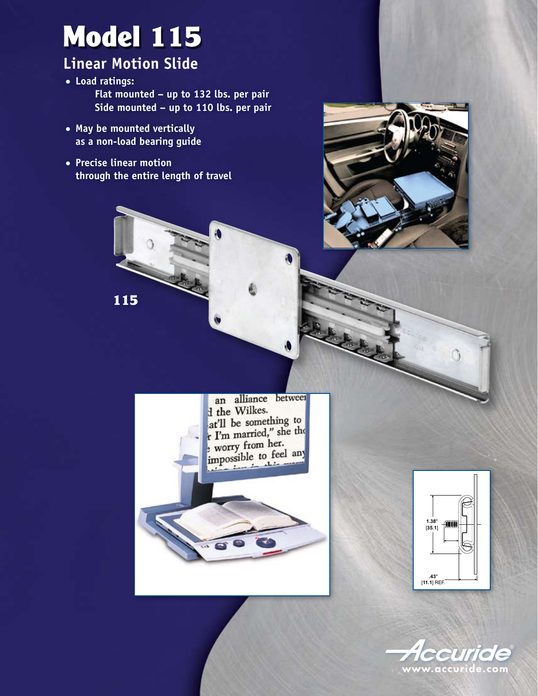# Model 115

### **Linear Motion Slide**

- **Load ratings: Flat mounted – up to 132 lbs. per pair Side mounted – up to 110 lbs. per pair**
- **May be mounted vertically as a non-load bearing guide**

115

● **Precise linear motion through the entire length of travel**